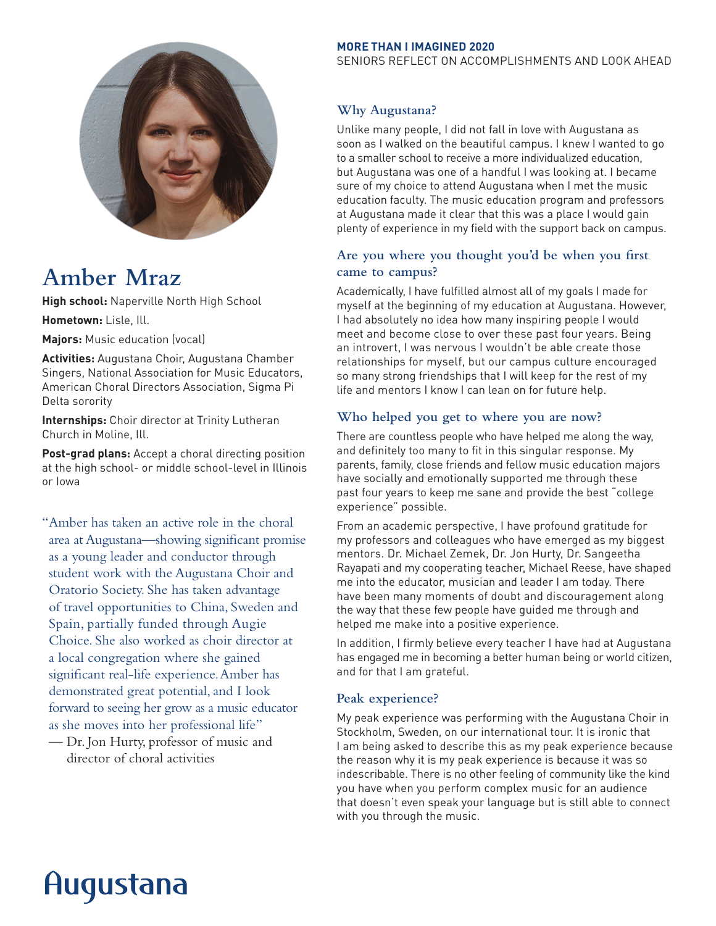

# **Amber Mraz**

**High school:** Naperville North High School

**Hometown:** Lisle, Ill.

**Majors:** Music education (vocal)

**Activities:** Augustana Choir, Augustana Chamber Singers, National Association for Music Educators, American Choral Directors Association, Sigma Pi Delta sorority

**Internships:** Choir director at Trinity Lutheran Church in Moline, Ill.

**Post-grad plans:** Accept a choral directing position at the high school- or middle school-level in Illinois or Iowa

"Amber has taken an active role in the choral area at Augustana—showing significant promise as a young leader and conductor through student work with the Augustana Choir and Oratorio Society. She has taken advantage of travel opportunities to China, Sweden and Spain, partially funded through Augie Choice. She also worked as choir director at a local congregation where she gained significant real-life experience. Amber has demonstrated great potential, and I look forward to seeing her grow as a music educator as she moves into her professional life"

— Dr. Jon Hurty, professor of music and director of choral activities

#### **MORE THAN I IMAGINED 2020**

SENIORS REFLECT ON ACCOMPLISHMENTS AND LOOK AHEAD

### **Why Augustana?**

Unlike many people, I did not fall in love with Augustana as soon as I walked on the beautiful campus. I knew I wanted to go to a smaller school to receive a more individualized education, but Augustana was one of a handful I was looking at. I became sure of my choice to attend Augustana when I met the music education faculty. The music education program and professors at Augustana made it clear that this was a place I would gain plenty of experience in my field with the support back on campus.

# **Are you where you thought you'd be when you first came to campus?**

Academically, I have fulfilled almost all of my goals I made for myself at the beginning of my education at Augustana. However, I had absolutely no idea how many inspiring people I would meet and become close to over these past four years. Being an introvert, I was nervous I wouldn't be able create those relationships for myself, but our campus culture encouraged so many strong friendships that I will keep for the rest of my life and mentors I know I can lean on for future help.

### **Who helped you get to where you are now?**

There are countless people who have helped me along the way, and definitely too many to fit in this singular response. My parents, family, close friends and fellow music education majors have socially and emotionally supported me through these past four years to keep me sane and provide the best "college experience" possible.

From an academic perspective, I have profound gratitude for my professors and colleagues who have emerged as my biggest mentors. Dr. Michael Zemek, Dr. Jon Hurty, Dr. Sangeetha Rayapati and my cooperating teacher, Michael Reese, have shaped me into the educator, musician and leader I am today. There have been many moments of doubt and discouragement along the way that these few people have guided me through and helped me make into a positive experience.

In addition, I firmly believe every teacher I have had at Augustana has engaged me in becoming a better human being or world citizen, and for that I am grateful.

#### **Peak experience?**

My peak experience was performing with the Augustana Choir in Stockholm, Sweden, on our international tour. It is ironic that I am being asked to describe this as my peak experience because the reason why it is my peak experience is because it was so indescribable. There is no other feeling of community like the kind you have when you perform complex music for an audience that doesn't even speak your language but is still able to connect with you through the music.

# Augustana